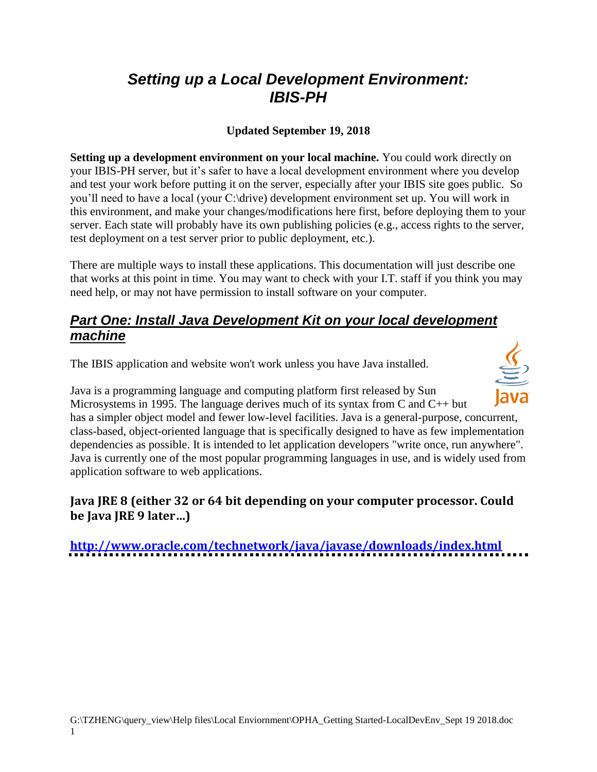# *Setting up a Local Development Environment: IBIS-PH*

### **Updated September 19, 2018**

**Setting up a development environment on your local machine.** You could work directly on your IBIS-PH server, but it's safer to have a local development environment where you develop and test your work before putting it on the server, especially after your IBIS site goes public. So you'll need to have a local (your C:\drive) development environment set up. You will work in this environment, and make your changes/modifications here first, before deploying them to your server. Each state will probably have its own publishing policies (e.g., access rights to the server, test deployment on a test server prior to public deployment, etc.).

There are multiple ways to install these applications. This documentation will just describe one that works at this point in time. You may want to check with your I.T. staff if you think you may need help, or may not have permission to install software on your computer.

### *Part One: Install Java Development Kit on your local development machine*

The IBIS application and website won't work unless you have Java installed.

Java is a programming language and computing platform first released by Sun Microsystems in 1995. The language derives much of its syntax from C and C++ but has a simpler object model and fewer low-level facilities. Java is a general-purpose, concurrent, class-based, object-oriented language that is specifically designed to have as few implementation dependencies as possible. It is intended to let application developers "write once, run anywhere". Java is currently one of the most popular programming languages in use, and is widely used from application software to web applications.

### **Java JRE 8 (either 32 or 64 bit depending on your computer processor. Could be Java JRE 9 later…)**

**<http://www.oracle.com/technetwork/java/javase/downloads/index.html>**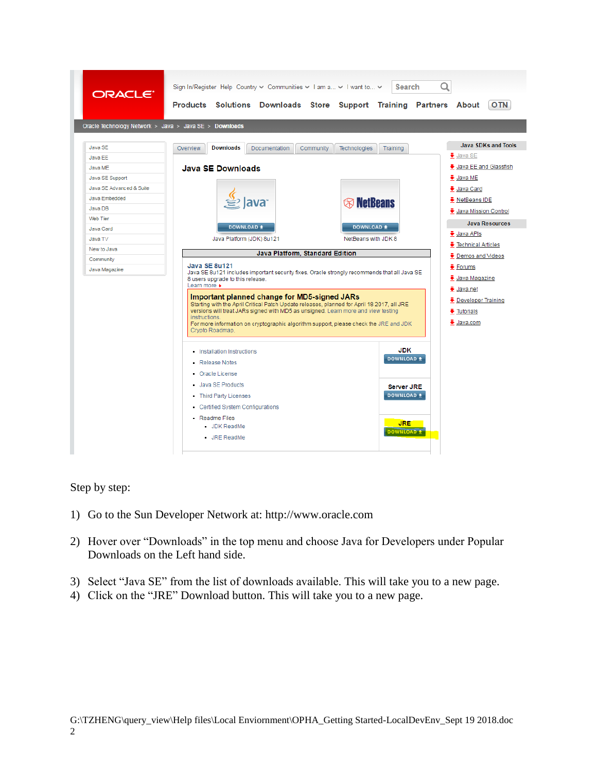

Step by step:

- 1) Go to the Sun Developer Network at: http://www.oracle.com
- 2) Hover over "Downloads" in the top menu and choose Java for Developers under Popular Downloads on the Left hand side.
- 3) Select "Java SE" from the list of downloads available. This will take you to a new page.
- 4) Click on the "JRE" Download button. This will take you to a new page.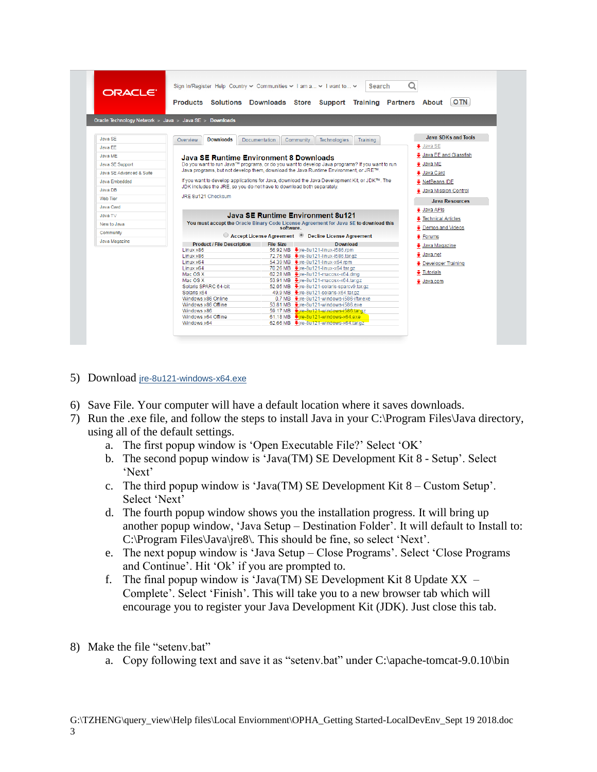| ORACLE <sup>®</sup>      | Sign In/Register Help Country $\vee$ Communities $\vee$ I am a $\vee$ I want to $\vee$ |                  | <b>Search</b><br>Products Solutions Downloads Store Support Training Partners About            | <b>OTN</b>                  |
|--------------------------|----------------------------------------------------------------------------------------|------------------|------------------------------------------------------------------------------------------------|-----------------------------|
|                          | Oracle Technology Network > Java > Java SE > Downloads                                 |                  |                                                                                                |                             |
| Java SE                  | <b>Downloads</b><br>Overview                                                           | Documentation    | Community<br><b>Technologies</b><br>Training                                                   | <b>Java SDKs and Tools</b>  |
| Java FF                  |                                                                                        |                  |                                                                                                | $\clubsuit$ Java SE         |
| Java MF                  |                                                                                        |                  |                                                                                                | Java EE and Glassfish       |
|                          | Java SE Runtime Environment 8 Downloads                                                |                  |                                                                                                |                             |
| Java SE Support          |                                                                                        |                  | Do you want to run Java™ programs, or do you want to develop Java programs? If you want to run | $\frac{1}{2}$ Java ME       |
| Java SE Advanced & Suite |                                                                                        |                  | Java programs, but not develop them, download the Java Runtime Environment, or JRE™.           | <b>↓</b> Java Card          |
| Java Embedded            |                                                                                        |                  | If you want to develop applications for Java, download the Java Development Kit, or JDK™. The  | <b>↓</b> NetBeans IDE       |
| Java DB                  | JDK includes the JRE, so you do not have to download both separately.                  |                  |                                                                                                |                             |
|                          | ↓ Java Mission Control<br>JRE 8u121 Checksum                                           |                  |                                                                                                |                             |
| Web Tier                 |                                                                                        |                  |                                                                                                | <b>Java Resources</b>       |
| Java Card                |                                                                                        |                  |                                                                                                | $\ddot{\bullet}$ Java APIs  |
| Java TV                  |                                                                                        |                  | Java SE Runtime Environment 8u121                                                              |                             |
| New to Java              |                                                                                        |                  | You must accept the Oracle Binary Code License Agreement for Java SE to download this          | <b>₹</b> Technical Articles |
| Community                |                                                                                        | software.        |                                                                                                | <b>↓</b> Demos and Videos   |
|                          |                                                                                        |                  | ○ Accept License Agreement ● Decline License Agreement                                         | $\ddot{\bullet}$ Forums     |
| Java Magazine            | <b>Product / File Description</b>                                                      | <b>File Size</b> | <b>Download</b>                                                                                | ↓ Java Magazine             |
|                          | Linux x86                                                                              |                  | 56.92 MB ÷ire-8u121-linux-i586.rpm                                                             |                             |
|                          | Linux x86                                                                              |                  | 72.76 MB •ire-8u121-linux-i586.tar.gz                                                          | $\ddot{\bullet}$ Java.net   |
|                          | Linux x64                                                                              |                  | 54.39 MB • ire-8u121-linux-x64.rpm                                                             | <b>↓</b> Developer Training |
|                          | Linux x64                                                                              |                  | 70.26 MB ÷ire-8u121-linux-x64.tar.gz                                                           | $\ddot{\bullet}$ Tutorials  |
|                          | Mac OS X<br>Mac OS X                                                                   |                  | 62.28 MB • ire-8u121-macosx-x64.dmg                                                            |                             |
|                          | Solaris SPARC 64-bit                                                                   |                  | 53.91 MB → jre-8u121-macosx-x64.tar.gz<br>52.05 MB ÷jre-8u121-solaris-sparcv9.tar.gz           | <b>↓</b> Java.com           |
|                          | Solaris x64                                                                            |                  | 49.9 MB Vire-8u121-solaris-x64.tar.gz                                                          |                             |
|                          | Windows x86 Online                                                                     |                  | 0.7 MB • ire-8u121-windows-i586-iftw.exe                                                       |                             |
|                          | Windows x86 Offline                                                                    |                  | 53,81 MB •ire-8u121-windows-i586.exe                                                           |                             |
|                          | Windows x86                                                                            |                  | 59.17 MB Fire-8u121-windows-i586.tar.gz                                                        |                             |
|                          | Windows x64 Offline                                                                    |                  | 61.18 MB Fire-8u121-windows-x64.exe                                                            |                             |
|                          | Windows x64                                                                            |                  | 62.66 MB Vire-8u121-windows-x64.tar.gz                                                         |                             |
|                          |                                                                                        |                  |                                                                                                |                             |

- 5) Download [jre-8u121-windows-x64.exe](javascript:%20void(0))
- 6) Save File. Your computer will have a default location where it saves downloads.
- 7) Run the .exe file, and follow the steps to install Java in your C:\Program Files\Java directory, using all of the default settings.
	- a. The first popup window is 'Open Executable File?' Select 'OK'
	- b. The second popup window is 'Java(TM) SE Development Kit  $8$  Setup'. Select ‗Next'
	- c. The third popup window is 'Java(TM) SE Development Kit  $8 -$ Custom Setup'. Select 'Next'
	- d. The fourth popup window shows you the installation progress. It will bring up another popup window, ‗Java Setup – Destination Folder'. It will default to Install to:  $C:\nProgram Files\Java\ire8\$ . This should be fine, so select 'Next'.
	- e. The next popup window is 'Java Setup Close Programs'. Select 'Close Programs' and Continue'. Hit 'Ok' if you are prompted to.
	- f. The final popup window is 'Java(TM) SE Development Kit 8 Update  $XX -$ Complete'. Select 'Finish'. This will take you to a new browser tab which will encourage you to register your Java Development Kit (JDK). Just close this tab.
- 8) Make the file "seteny.bat"
	- a. Copy following text and save it as "seteny.bat" under  $C:\$ apache-tomcat-9.0.10\bin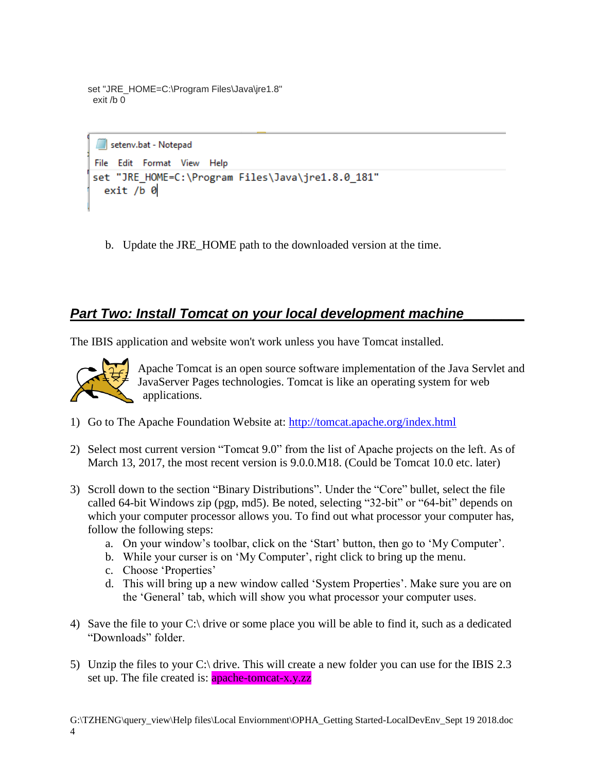```
set "JRE_HOME=C:\Program Files\Java\jre1.8"
 exit /b 0
```

```
setenv.bat - Notepad
File Edit Format View Help
set "JRE HOME=C:\Program Files\Java\jre1.8.0 181"
  exit / b 0
```
b. Update the JRE\_HOME path to the downloaded version at the time.

## *Part Two: Install Tomcat on your local development machine\_\_\_\_\_\_\_\_*

The IBIS application and website won't work unless you have Tomcat installed.



Apache Tomcat is an open source software implementation of the Java Servlet and JavaServer Pages technologies. Tomcat is like an operating system for web applications.

- 1) Go to The Apache Foundation Website at:<http://tomcat.apache.org/index.html>
- 2) Select most current version "Tomcat 9.0" from the list of Apache projects on the left. As of March 13, 2017, the most recent version is 9.0.0.M18. (Could be Tomcat 10.0 etc. later)
- 3) Scroll down to the section "Binary Distributions". Under the "Core" bullet, select the file called 64-bit Windows zip (pgp, md5). Be noted, selecting "32-bit" or "64-bit" depends on which your computer processor allows you. To find out what processor your computer has, follow the following steps:
	- a. On your window's toolbar, click on the 'Start' button, then go to 'My Computer'.
	- b. While your curser is on 'My Computer', right click to bring up the menu.
	- c. Choose 'Properties'
	- d. This will bring up a new window called 'System Properties'. Make sure you are on the 'General' tab, which will show you what processor your computer uses.
- 4) Save the file to your C:\ drive or some place you will be able to find it, such as a dedicated ―Downloads‖ folder.
- 5) Unzip the files to your C:\ drive. This will create a new folder you can use for the IBIS 2.3 set up. The file created is: **apache-tomcat-x.y.zz**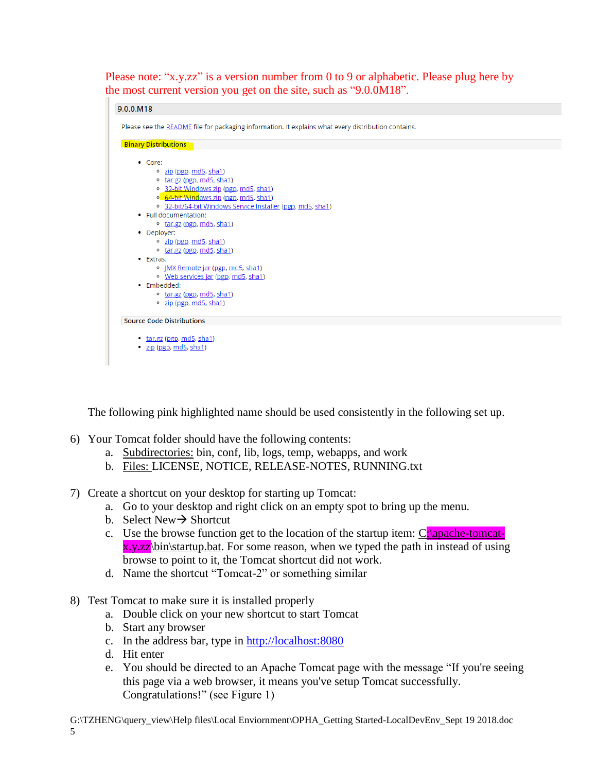Please note: " $x,y,zz$ " is a version number from 0 to 9 or alphabetic. Please plug here by the most current version you get on the site, such as "9.0.0M18".



The following pink highlighted name should be used consistently in the following set up.

- 6) Your Tomcat folder should have the following contents:
	- a. Subdirectories: bin, conf, lib, logs, temp, webapps, and work
	- b. Files: LICENSE, NOTICE, RELEASE-NOTES, RUNNING.txt
- 7) Create a shortcut on your desktop for starting up Tomcat:
	- a. Go to your desktop and right click on an empty spot to bring up the menu.
	- b. Select New  $\rightarrow$  Shortcut
	- c. Use the browse function get to the location of the startup item:  $C:\qquad$  $x.y.zz\binom{bin}{startup.bat}$ . For some reason, when we typed the path in instead of using browse to point to it, the Tomcat shortcut did not work.
	- d. Name the shortcut "Tomcat-2" or something similar
- 8) Test Tomcat to make sure it is installed properly
	- a. Double click on your new shortcut to start Tomcat
	- b. Start any browser
	- c. In the address bar, type in [http://localhost:8080](http://localhost:8080/)
	- d. Hit enter
	- e. You should be directed to an Apache Tomcat page with the message "If you're seeing this page via a web browser, it means you've setup Tomcat successfully. Congratulations!" (see Figure 1)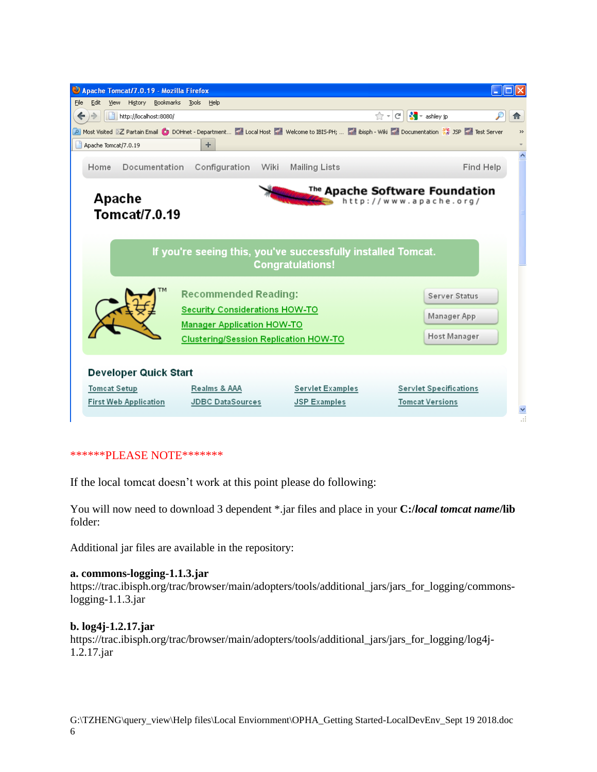

#### \*\*\*\*\*\*PLEASE NOTE\*\*\*\*\*\*\*

If the local tomcat doesn't work at this point please do following:

You will now need to download 3 dependent \*.jar files and place in your **C:/***local tomcat name***/lib** folder:

Additional jar files are available in the repository:

#### **a. commons-logging-1.1.3.jar**

https://trac.ibisph.org/trac/browser/main/adopters/tools/additional\_jars/jars\_for\_logging/commonslogging-1.1.3.jar

#### **b. log4j-1.2.17.jar**

https://trac.ibisph.org/trac/browser/main/adopters/tools/additional\_jars/jars\_for\_logging/log4j-1.2.17.jar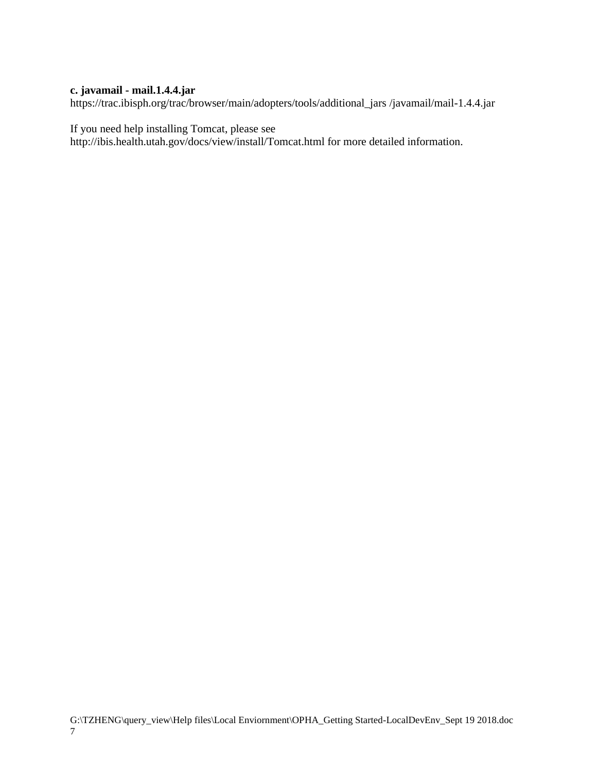### **c. javamail - mail.1.4.4.jar**

https://trac.ibisph.org/trac/browser/main/adopters/tools/additional\_jars /javamail/mail-1.4.4.jar

If you need help installing Tomcat, please see

http://ibis.health.utah.gov/docs/view/install/Tomcat.html for more detailed information.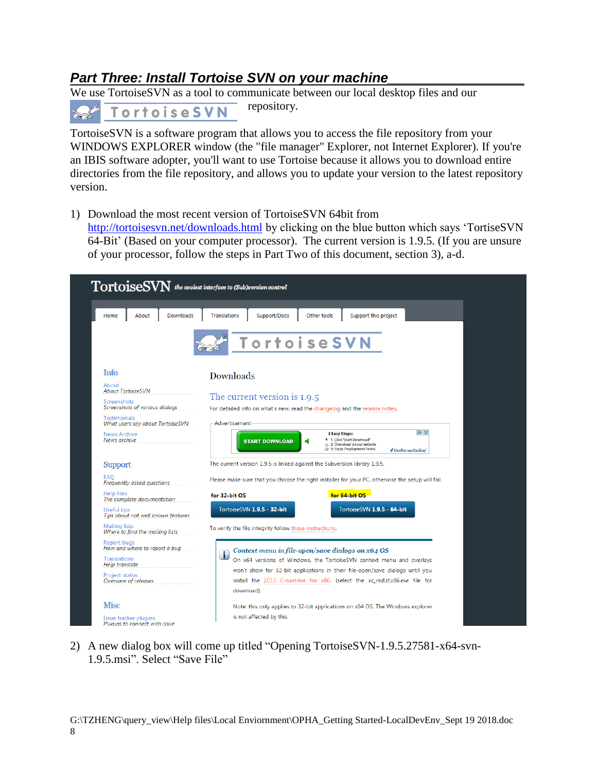## *Part Three: Install Tortoise SVN on your machine\_\_\_\_\_\_\_\_\_\_\_\_\_\_\_\_\_\_*

We use TortoiseSVN as a tool to communicate between our local desktop files and our repository.

**TortoiseSVN** 

TortoiseSVN is a software program that allows you to access the file repository from your WINDOWS EXPLORER window (the "file manager" Explorer, not Internet Explorer). If you're an IBIS software adopter, you'll want to use Tortoise because it allows you to download entire directories from the file repository, and allows you to update your version to the latest repository version.

1) Download the most recent version of TortoiseSVN 64bit from

<http://tortoisesvn.net/downloads.html> by clicking on the blue button which says 'TortiseSVN 64-Bit' (Based on your computer processor). The current version is 1.9.5. (If you are unsure of your processor, follow the steps in Part Two of this document, section 3), a-d.

| About<br>Downloads<br>Home                                                                                                                                                           | Support/Docs<br>Other tools<br>Support this project<br><b>Translations</b>                                                                                                                                                                                                                                                 |
|--------------------------------------------------------------------------------------------------------------------------------------------------------------------------------------|----------------------------------------------------------------------------------------------------------------------------------------------------------------------------------------------------------------------------------------------------------------------------------------------------------------------------|
|                                                                                                                                                                                      | <b>TortoiseSVN</b>                                                                                                                                                                                                                                                                                                         |
| Info                                                                                                                                                                                 | Downloads                                                                                                                                                                                                                                                                                                                  |
| About<br><b>About TortoiseSVN</b><br>Screenshots<br>Screenshots of various dialogs<br><b>Testimonials</b><br>What users say about TortoiseSVN<br><b>News Archive</b><br>News archive | The current version is 1.9.5<br>For detailed info on what's new, read the changelog and the release notes.<br>-Advertisement<br>$\triangleright$ X<br><b>3 Easy Steps:</b><br>h 1. Click "Start Download"<br><b>START DOWNLOAD</b><br>と 2. Download on our website<br>3. Enjoy Employment Forms<br><b>J</b> GetFormsOnline |
| <b>Support</b>                                                                                                                                                                       | The current version 1.9.5 is linked against the Subversion library 1.9.5.                                                                                                                                                                                                                                                  |
| <b>FAQ</b><br>Frequently asked questions                                                                                                                                             | Please make sure that you choose the right installer for your PC, otherwise the setup will fail.                                                                                                                                                                                                                           |
| <b>Help files</b><br>The complete documentation                                                                                                                                      | for 64-bit OS<br>for 32 bit OS                                                                                                                                                                                                                                                                                             |
| Useful tips<br>Tips about not well known features                                                                                                                                    | TortoiseSVN 1.9.5 - 32-bit<br>TortoiseSVN 1.9.5 - 64-bit                                                                                                                                                                                                                                                                   |
| Mailing lists<br>Where to find the mailing lists                                                                                                                                     | To verify the file integrity follow these instructions.                                                                                                                                                                                                                                                                    |
| Report buas<br>How and where to report a bug<br><b>Translations</b><br>Help translate<br>Project status<br>Overview of releases                                                      | Context menu in file-open/save dialogs on x64 OS<br>$\blacksquare$<br>On x64 versions of Windows, the TortoiseSVN context menu and overlays<br>won't show for 32-bit applications in their file-open/save dialogs until you<br>install the 2015 C-runtime for x86. (select the vc_redist.x86.exe file for<br>download).    |
| <b>Misc</b><br>Issue tracker plugins<br>Pluains to connect with issue                                                                                                                | Note: this only applies to 32-bit applications on x64 OS. The Windows explorer<br>is not affected by this.                                                                                                                                                                                                                 |

2) A new dialog box will come up titled "Opening TortoiseSVN-1.9.5.27581-x64-svn-1.9.5.msi". Select "Save File"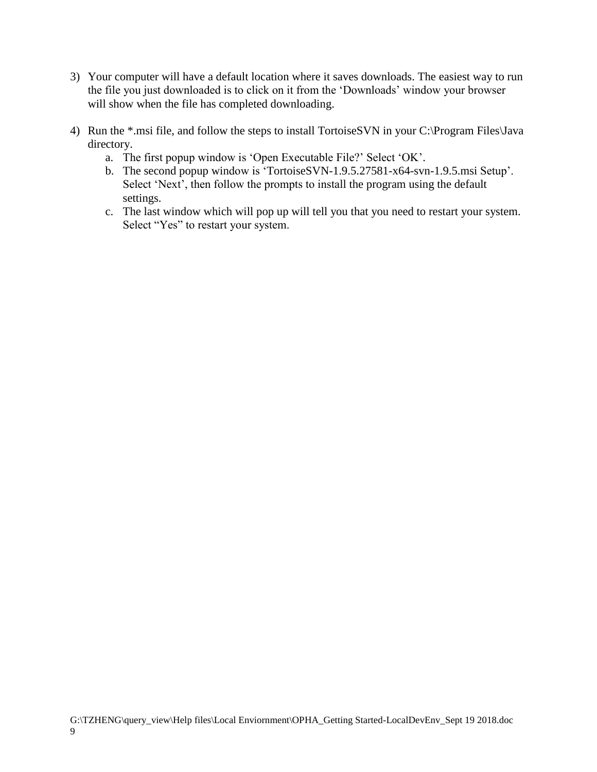- 3) Your computer will have a default location where it saves downloads. The easiest way to run the file you just downloaded is to click on it from the 'Downloads' window your browser will show when the file has completed downloading.
- 4) Run the \*.msi file, and follow the steps to install TortoiseSVN in your C:\Program Files\Java directory.
	- a. The first popup window is 'Open Executable File?' Select 'OK'.
	- b. The second popup window is 'TortoiseSVN-1.9.5.27581-x64-svn-1.9.5.msi Setup'. Select 'Next', then follow the prompts to install the program using the default settings.
	- c. The last window which will pop up will tell you that you need to restart your system. Select "Yes" to restart your system.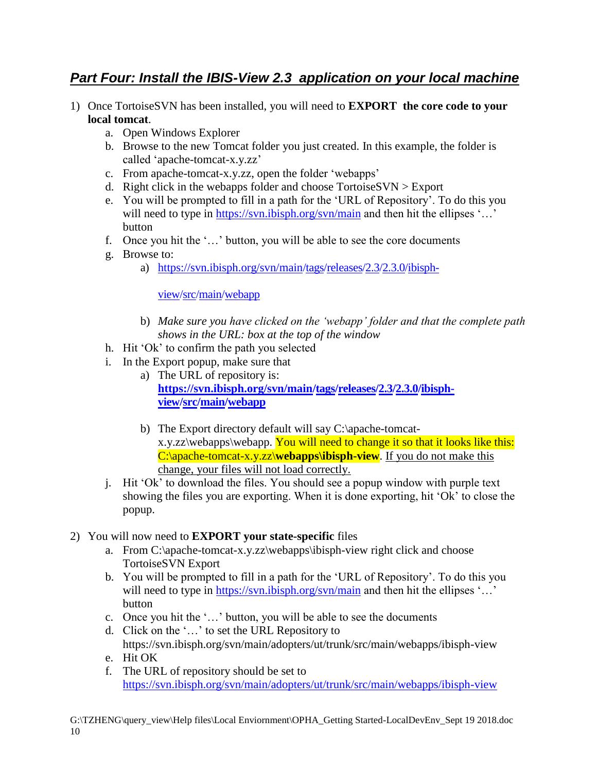## *Part Four: Install the IBIS-View 2.3 application on your local machine*

- 1) Once TortoiseSVN has been installed, you will need to **EXPORT the core code to your local tomcat**.
	- a. Open Windows Explorer
	- b. Browse to the new Tomcat folder you just created. In this example, the folder is called ‗apache-tomcat-x.y.zz'
	- c. From apache-tomcat-x.y.zz, open the folder 'webapps'
	- d. Right click in the webapps folder and choose TortoiseSVN > Export
	- e. You will be prompted to fill in a path for the 'URL of Repository'. To do this you will need to type in<https://svn.ibisph.org/svn/main> and then hit the ellipses '...' button
	- f. Once you hit the '...' button, you will be able to see the core documents
	- g. Browse to:
		- a) [https://svn.ibisph.org/svn/main/](https://svn.ibisph.org/svn/main)[tags/](https://trac.ibisph.org/trac/browser/main/tags?order=name)[releases/](https://trac.ibisph.org/trac/browser/main/tags/releases?order=name)[2.3](https://trac.ibisph.org/trac/browser/main/tags/releases/2.3?order=name)[/2.3.0](https://trac.ibisph.org/trac/browser/main/tags/releases/2.3/2.3.0?order=name)[/ibisph-](https://trac.ibisph.org/trac/browser/main/tags/releases/2.3/2.3.0/ibisph-view?order=name)

[view](https://trac.ibisph.org/trac/browser/main/tags/releases/2.3/2.3.0/ibisph-view?order=name)[/src](https://trac.ibisph.org/trac/browser/main/tags/releases/2.3/2.3.0/ibisph-view/src?order=name)[/main/](https://trac.ibisph.org/trac/browser/main/tags/releases/2.3/2.3.0/ibisph-view/src/main?order=name)[webapp](https://trac.ibisph.org/trac/browser/main/tags/releases/2.3/2.3.0/ibisph-view/src/main/webapp?order=name)

- b) *Make sure you have clicked on the 'webapp' folder and that the complete path shows in the URL: box at the top of the window*
- h. Hit 'Ok' to confirm the path you selected
- i. In the Export popup, make sure that
	- a) The URL of repository is: **[https://svn.ibisph.org/svn/main/](https://svn.ibisph.org/svn/main)[tags/](https://trac.ibisph.org/trac/browser/main/tags?order=name)[releases](https://trac.ibisph.org/trac/browser/main/tags/releases?order=name)[/2.3/](https://trac.ibisph.org/trac/browser/main/tags/releases/2.3?order=name)[2.3.0](https://trac.ibisph.org/trac/browser/main/tags/releases/2.3/2.3.0?order=name)[/ibisph](https://trac.ibisph.org/trac/browser/main/tags/releases/2.3/2.3.0/ibisph-view?order=name)[view](https://trac.ibisph.org/trac/browser/main/tags/releases/2.3/2.3.0/ibisph-view?order=name)[/src](https://trac.ibisph.org/trac/browser/main/tags/releases/2.3/2.3.0/ibisph-view/src?order=name)[/main/](https://trac.ibisph.org/trac/browser/main/tags/releases/2.3/2.3.0/ibisph-view/src/main?order=name)[webapp](https://trac.ibisph.org/trac/browser/main/tags/releases/2.3/2.3.0/ibisph-view/src/main/webapp?order=name)**
	- b) The Export directory default will say C:\apache-tomcatx.y.zz\webapps\webapp. You will need to change it so that it looks like this: C:\apache-tomcat-x.y.zz\webapps\ibisph-view. If you do not make this change, your files will not load correctly.
- j. Hit ‗Ok' to download the files. You should see a popup window with purple text showing the files you are exporting. When it is done exporting, hit 'Ok' to close the popup.

### 2) You will now need to **EXPORT your state-specific** files

- a. From C:\apache-tomcat-x.y.zz\webapps\ibisph-view right click and choose TortoiseSVN Export
- b. You will be prompted to fill in a path for the 'URL of Repository'. To do this you will need to type in<https://svn.ibisph.org/svn/main> and then hit the ellipses '...' button
- c. Once you hit the '...' button, you will be able to see the documents
- d. Click on the '...' to set the URL Repository to [https://svn.ibisph.org/svn/main/](https://svn.ibisph.org/svn/main)adopters/ut/trunk/src/main/webapps/ibisph-view e. Hit OK
- f. The URL of repository should be set to <https://svn.ibisph.org/svn/main>[/adopters/ut/trunk/src/main/webapps/ibisph-view](http://www.ibisph.org/svn/main/adopters/ut/trunk/src/main/webapps/ibisph-view)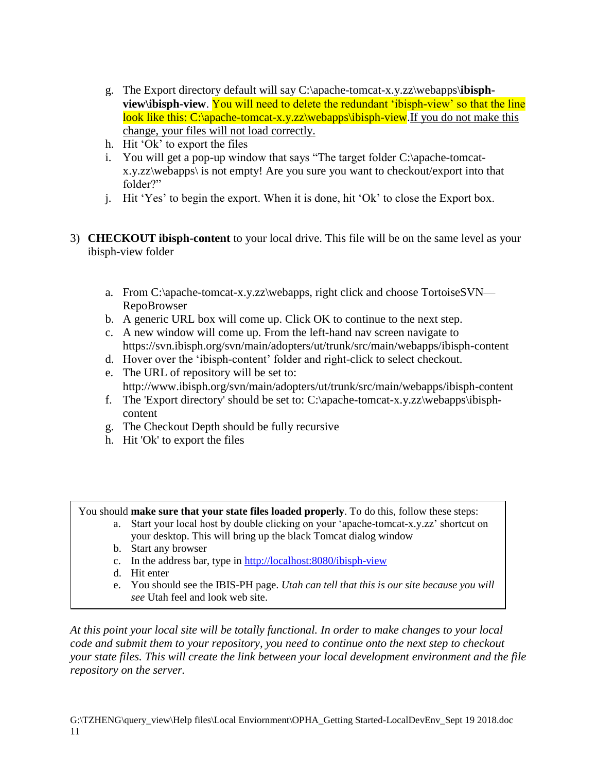- g. The Export directory default will say C:\apache-tomcat-x.y.zz\webapps\**ibisphview**\ibisph-view. You will need to delete the redundant 'ibisph-view' so that the line look like this: C:\apache-tomcat-x.y.zz\webapps\ibisph-view. If you do not make this change, your files will not load correctly.
- h. Hit 'Ok' to export the files
- i. You will get a pop-up window that says "The target folder  $C:\$ apache-tomcatx.y.zz\webapps\ is not empty! Are you sure you want to checkout/export into that folder?"
- j. Hit 'Yes' to begin the export. When it is done, hit 'Ok' to close the Export box.
- 3) **CHECKOUT ibisph-content** to your local drive. This file will be on the same level as your ibisph-view folder
	- a. From C:\apache-tomcat-x.y.zz\webapps, right click and choose TortoiseSVN— RepoBrowser
	- b. A generic URL box will come up. Click OK to continue to the next step.
	- c. A new window will come up. From the left-hand nav screen navigate to https://svn.ibisph.org/svn/main/adopters/ut/trunk/src/main/webapps/ibisph-content
	- d. Hover over the 'ibisph-content' folder and right-click to select checkout.
	- e. The URL of repository will be set to: http://www.ibisph.org/svn/main/adopters/ut/trunk/src/main/webapps/ibisph-content
	- f. The 'Export directory' should be set to: C:\apache-tomcat-x.y.zz\webapps\ibisphcontent
	- g. The Checkout Depth should be fully recursive
	- h. Hit 'Ok' to export the files

You should **make sure that your state files loaded properly**. To do this, follow these steps:

- a. Start your local host by double clicking on your 'apache-tomcat-x.y.zz' shortcut on your desktop. This will bring up the black Tomcat dialog window
- b. Start any browser
- c. In the address bar, type i[n http://localhost:8080/ibisph-view](http://localhost:8080/ibisph-view)
- d. Hit enter
- e. You should see the IBIS-PH page. *Utah can tell that this is our site because you will see* Utah feel and look web site.

*At this point your local site will be totally functional. In order to make changes to your local code and submit them to your repository, you need to continue onto the next step to checkout your state files. This will create the link between your local development environment and the file repository on the server.*